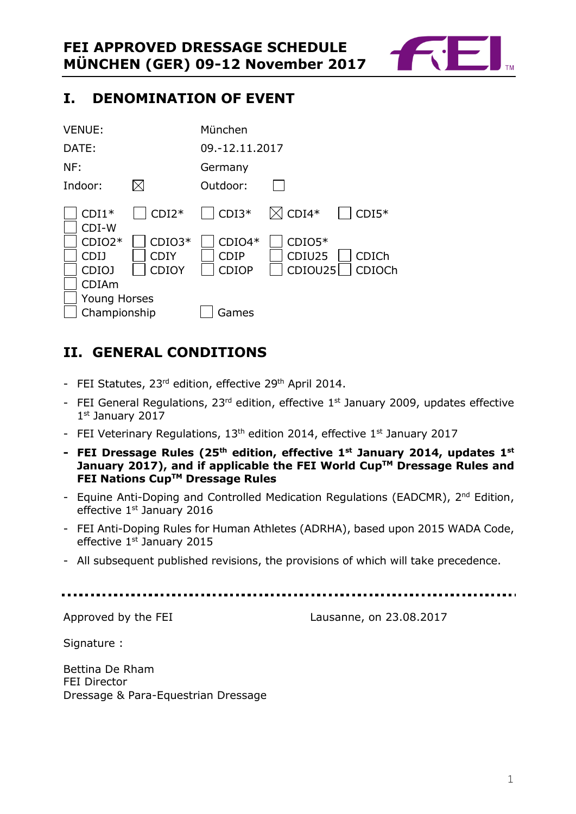

# <span id="page-0-0"></span>**I. DENOMINATION OF EVENT**

| <b>VENUE:</b>                                |                                  | München                                 |                               |                        |
|----------------------------------------------|----------------------------------|-----------------------------------------|-------------------------------|------------------------|
| DATE:                                        |                                  | 09.-12.11.2017                          |                               |                        |
| NF:                                          |                                  | Germany                                 |                               |                        |
| Indoor:                                      |                                  | Outdoor:                                |                               |                        |
| $CDI1*$<br>CDI-W                             | $CDI2*$                          | $\vert$ CDI3*                           | $\boxtimes$ CDI4*             | $CDI5*$                |
| $CDIO2*$<br><b>CDIJ</b><br>CDIO <sub>J</sub> | $CDIO3*$<br><b>CDIY</b><br>CDIOY | $CDIO4*$<br><b>CDIP</b><br><b>CDIOP</b> | $CDIO5*$<br>CDIU25<br>CDIOU25 | <b>CDICh</b><br>CDIOCh |
| <b>CDIAm</b>                                 |                                  |                                         |                               |                        |
| <b>Young Horses</b><br>Championship          |                                  | Games                                   |                               |                        |

# <span id="page-0-1"></span>**II. GENERAL CONDITIONS**

- FEI Statutes, 23<sup>rd</sup> edition, effective 29<sup>th</sup> April 2014.
- FEI General Regulations,  $23^{rd}$  edition, effective  $1^{st}$  January 2009, updates effective 1st January 2017
- FEI Veterinary Regulations, 13<sup>th</sup> edition 2014, effective 1<sup>st</sup> January 2017
- **- FEI Dressage Rules (25 th edition, effective 1st January 2014, updates 1 st January 2017), and if applicable the FEI World CupTM Dressage Rules and FEI Nations CupTM Dressage Rules**
- Equine Anti-Doping and Controlled Medication Regulations (EADCMR), 2<sup>nd</sup> Edition, effective 1<sup>st</sup> January 2016
- FEI Anti-Doping Rules for Human Athletes (ADRHA), based upon 2015 WADA Code, effective 1st January 2015
- All subsequent published revisions, the provisions of which will take precedence.

Approved by the FEI Lausanne, on 23.08.2017

Signature :

Bettina De Rham FEI Director Dressage & Para-Equestrian Dressage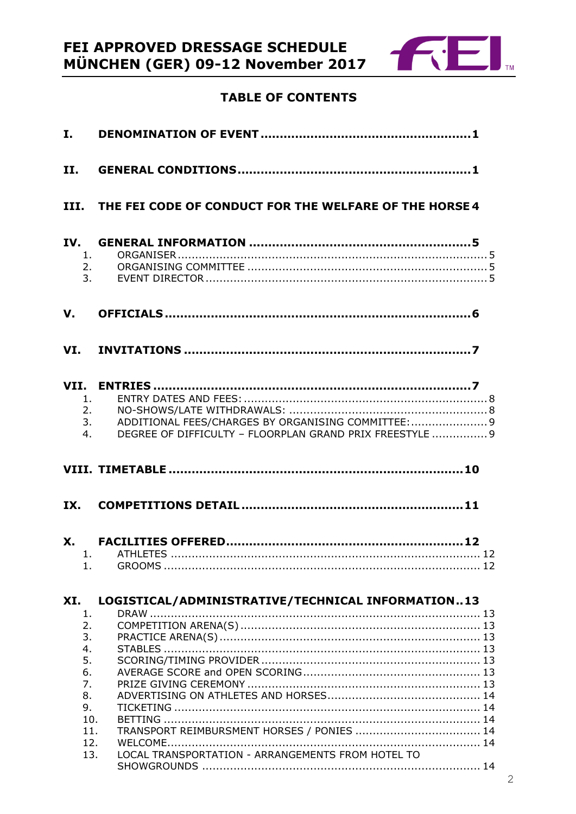

# **TABLE OF CONTENTS**

| I.  |                                                                                                                                   |
|-----|-----------------------------------------------------------------------------------------------------------------------------------|
| II. |                                                                                                                                   |
|     | III. THE FEI CODE OF CONDUCT FOR THE WELFARE OF THE HORSE 4                                                                       |
|     | 1.<br>2.<br>3.                                                                                                                    |
| V.  |                                                                                                                                   |
|     |                                                                                                                                   |
| 4.  | 1.<br>2.<br>ADDITIONAL FEES/CHARGES BY ORGANISING COMMITTEE:  9<br>3.<br>DEGREE OF DIFFICULTY - FLOORPLAN GRAND PRIX FREESTYLE  9 |
|     |                                                                                                                                   |
| IX. |                                                                                                                                   |
|     |                                                                                                                                   |
|     | 1. ATHLETES.                                                                                                                      |
| 1.  |                                                                                                                                   |
|     |                                                                                                                                   |
|     |                                                                                                                                   |
| XI. | LOGISTICAL/ADMINISTRATIVE/TECHNICAL INFORMATION13                                                                                 |
| 1.  |                                                                                                                                   |
| 2.  |                                                                                                                                   |
| 3.  |                                                                                                                                   |
| 4.  |                                                                                                                                   |
| 5.  |                                                                                                                                   |
| 6.  |                                                                                                                                   |
| 7.  |                                                                                                                                   |
| 8.  |                                                                                                                                   |
| 9.  |                                                                                                                                   |
|     | 10.<br>11.                                                                                                                        |
|     | TRANSPORT REIMBURSMENT HORSES / PONIES  14<br>12.                                                                                 |
|     | LOCAL TRANSPORTATION - ARRANGEMENTS FROM HOTEL TO<br>13.                                                                          |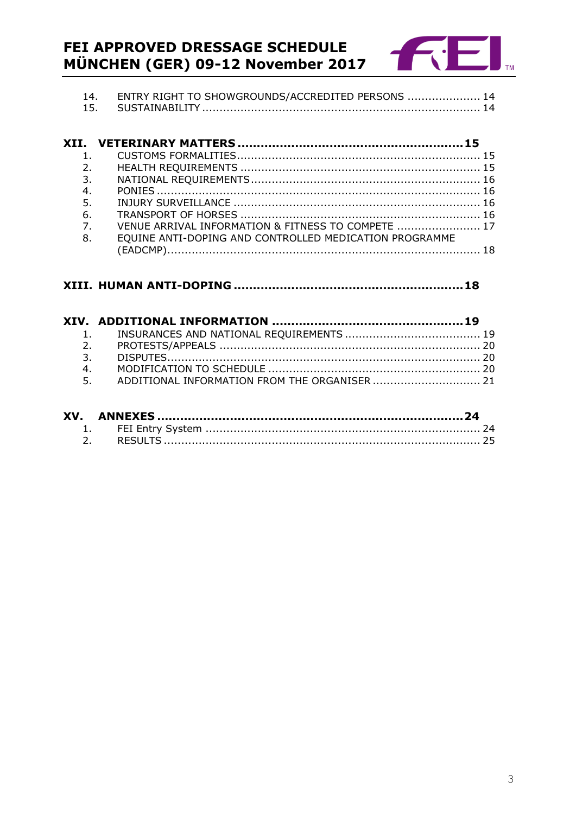# **FEI APPROVED DRESSAGE SCHEDULE<br>MÜNCHEN (GER) 09-12 November 2017**



| ENTRY RIGHT TO SHOWGROUNDS/ACCREDITED PERSONS  14 |  |
|---------------------------------------------------|--|
|                                                   |  |

|                | 2.                                                     |  |
|----------------|--------------------------------------------------------|--|
| 3.             |                                                        |  |
| 4.             |                                                        |  |
| 5.             |                                                        |  |
| 6.             |                                                        |  |
| $\overline{7}$ | VENUE ARRIVAL INFORMATION & FITNESS TO COMPETE  17     |  |
| 8.             | EQUINE ANTI-DOPING AND CONTROLLED MEDICATION PROGRAMME |  |
|                |                                                        |  |

# 

| 4. |                                                  |  |
|----|--------------------------------------------------|--|
|    | 5. ADDITIONAL INFORMATION FROM THE ORGANISER  21 |  |
|    |                                                  |  |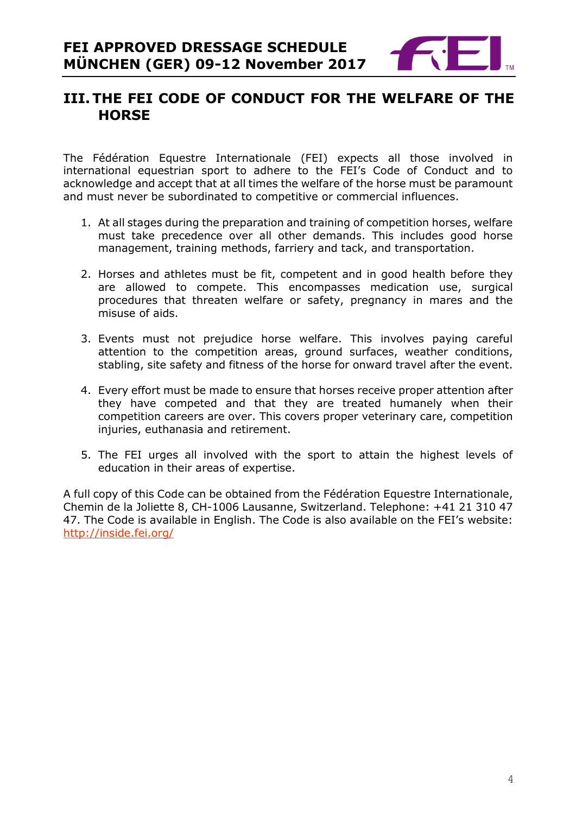

# <span id="page-3-0"></span>**III.THE FEI CODE OF CONDUCT FOR THE WELFARE OF THE HORSE**

The Fédération Equestre Internationale (FEI) expects all those involved in international equestrian sport to adhere to the FEI's Code of Conduct and to acknowledge and accept that at all times the welfare of the horse must be paramount and must never be subordinated to competitive or commercial influences.

- 1. At all stages during the preparation and training of competition horses, welfare must take precedence over all other demands. This includes good horse management, training methods, farriery and tack, and transportation.
- 2. Horses and athletes must be fit, competent and in good health before they are allowed to compete. This encompasses medication use, surgical procedures that threaten welfare or safety, pregnancy in mares and the misuse of aids.
- 3. Events must not prejudice horse welfare. This involves paying careful attention to the competition areas, ground surfaces, weather conditions, stabling, site safety and fitness of the horse for onward travel after the event.
- 4. Every effort must be made to ensure that horses receive proper attention after they have competed and that they are treated humanely when their competition careers are over. This covers proper veterinary care, competition injuries, euthanasia and retirement.
- 5. The FEI urges all involved with the sport to attain the highest levels of education in their areas of expertise.

A full copy of this Code can be obtained from the Fédération Equestre Internationale, Chemin de la Joliette 8, CH-1006 Lausanne, Switzerland. Telephone: +41 21 310 47 47. The Code is available in English. The Code is also available on the FEI's website: <http://inside.fei.org/>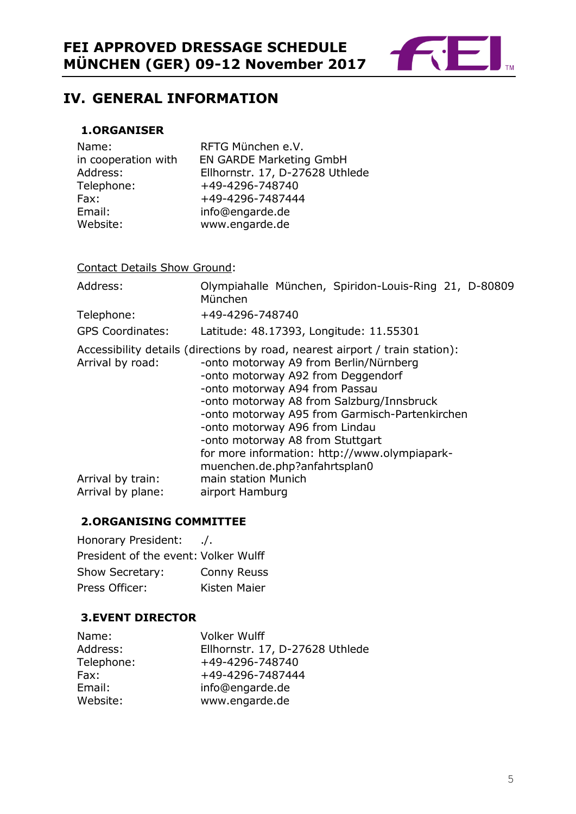

# <span id="page-4-0"></span>**IV. GENERAL INFORMATION**

#### <span id="page-4-1"></span>**1.ORGANISER**

| Name:               | RFTG München e.V.               |
|---------------------|---------------------------------|
| in cooperation with | <b>EN GARDE Marketing GmbH</b>  |
| Address:            | Ellhornstr. 17, D-27628 Uthlede |
| Telephone:          | +49-4296-748740                 |
| Fax:                | +49-4296-7487444                |
| Email:              | info@engarde.de                 |
| Website:            | www.engarde.de                  |

Contact Details Show Ground:

| Address:                               | Olympiahalle München, Spiridon-Louis-Ring 21, D-80809<br>München                                                                                                                                                                                                                                                                                                                                                                                      |
|----------------------------------------|-------------------------------------------------------------------------------------------------------------------------------------------------------------------------------------------------------------------------------------------------------------------------------------------------------------------------------------------------------------------------------------------------------------------------------------------------------|
| Telephone:                             | +49-4296-748740                                                                                                                                                                                                                                                                                                                                                                                                                                       |
| <b>GPS Coordinates:</b>                | Latitude: 48.17393, Longitude: 11.55301                                                                                                                                                                                                                                                                                                                                                                                                               |
| Arrival by road:                       | Accessibility details (directions by road, nearest airport / train station):<br>-onto motorway A9 from Berlin/Nürnberg<br>-onto motorway A92 from Deggendorf<br>-onto motorway A94 from Passau<br>-onto motorway A8 from Salzburg/Innsbruck<br>-onto motorway A95 from Garmisch-Partenkirchen<br>-onto motorway A96 from Lindau<br>-onto motorway A8 from Stuttgart<br>for more information: http://www.olympiapark-<br>muenchen.de.php?anfahrtsplan0 |
| Arrival by train:<br>Arrival by plane: | main station Munich<br>airport Hamburg                                                                                                                                                                                                                                                                                                                                                                                                                |

#### <span id="page-4-2"></span>**2.ORGANISING COMMITTEE**

Honorary President: ./. President of the event: Volker Wulff Show Secretary: Conny Reuss Press Officer: Kisten Maier

#### <span id="page-4-3"></span>**3.EVENT DIRECTOR**

| Name:      | <b>Volker Wulff</b>             |
|------------|---------------------------------|
| Address:   | Ellhornstr. 17, D-27628 Uthlede |
| Telephone: | +49-4296-748740                 |
| Fax:       | +49-4296-7487444                |
| Email:     | info@engarde.de                 |
| Website:   | www.engarde.de                  |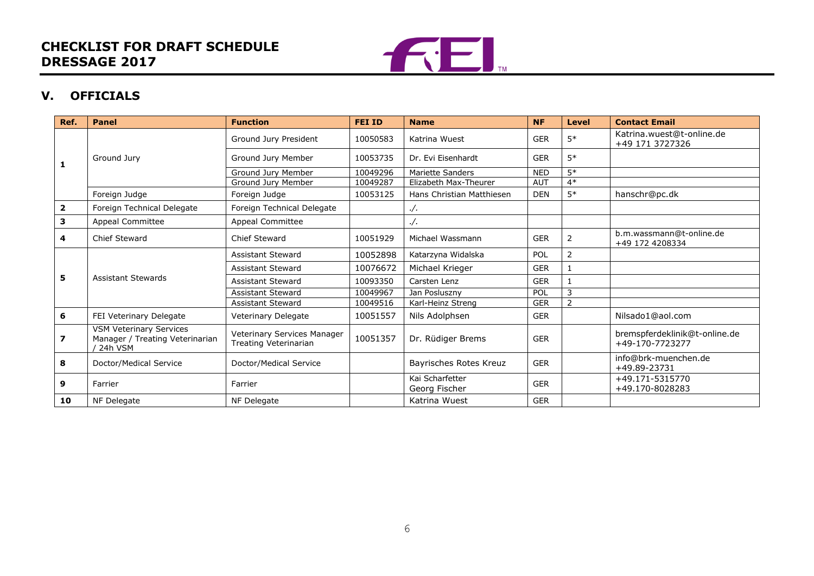# **CHECKLIST FOR DRAFT SCHEDULE DRESSAGE 2017**



### **V. OFFICIALS**

<span id="page-5-0"></span>

| Ref.         | Panel                                                                          | <b>Function</b>                                      | <b>FEI ID</b> | <b>Name</b>                      | <b>NF</b>  | <b>Level</b>   | <b>Contact Email</b>                             |
|--------------|--------------------------------------------------------------------------------|------------------------------------------------------|---------------|----------------------------------|------------|----------------|--------------------------------------------------|
| 1            | Ground Jury                                                                    | Ground Jury President                                | 10050583      | Katrina Wuest                    | <b>GER</b> | $5*$           | Katrina.wuest@t-online.de<br>+49 171 3727326     |
|              |                                                                                | Ground Jury Member                                   | 10053735      | Dr. Evi Eisenhardt               | <b>GER</b> | $5*$           |                                                  |
|              |                                                                                | Ground Jury Member                                   | 10049296      | <b>Mariette Sanders</b>          | <b>NED</b> | $5*$           |                                                  |
|              |                                                                                | Ground Jury Member                                   | 10049287      | Elizabeth Max-Theurer            | <b>AUT</b> | $4*$           |                                                  |
|              | Foreign Judge                                                                  | Foreign Judge                                        | 10053125      | Hans Christian Matthiesen        | <b>DEN</b> | $5*$           | hanschr@pc.dk                                    |
| $\mathbf{2}$ | Foreign Technical Delegate                                                     | Foreign Technical Delegate                           |               | . /.                             |            |                |                                                  |
| 3            | Appeal Committee                                                               | Appeal Committee                                     |               | . /.                             |            |                |                                                  |
| 4            | Chief Steward                                                                  | Chief Steward                                        | 10051929      | Michael Wassmann                 | <b>GER</b> | 2              | b.m.wassmann@t-online.de<br>+49 172 4208334      |
|              | <b>Assistant Stewards</b>                                                      | <b>Assistant Steward</b>                             | 10052898      | Katarzyna Widalska               | <b>POL</b> | $\overline{2}$ |                                                  |
|              |                                                                                | <b>Assistant Steward</b>                             | 10076672      | Michael Krieger                  | <b>GER</b> |                |                                                  |
| 5            |                                                                                | <b>Assistant Steward</b>                             | 10093350      | Carsten Lenz                     | <b>GER</b> |                |                                                  |
|              |                                                                                | <b>Assistant Steward</b>                             | 10049967      | Jan Posluszny                    | POL        | 3              |                                                  |
|              |                                                                                | <b>Assistant Steward</b>                             | 10049516      | Karl-Heinz Streng                | <b>GER</b> |                |                                                  |
| 6            | FEI Veterinary Delegate                                                        | Veterinary Delegate                                  | 10051557      | Nils Adolphsen                   | <b>GER</b> |                | Nilsado1@aol.com                                 |
| 7            | <b>VSM Veterinary Services</b><br>Manager / Treating Veterinarian<br>/ 24h VSM | Veterinary Services Manager<br>Treating Veterinarian | 10051357      | Dr. Rüdiger Brems                | <b>GER</b> |                | bremspferdeklinik@t-online.de<br>+49-170-7723277 |
| 8            | Doctor/Medical Service                                                         | Doctor/Medical Service                               |               | Bayrisches Rotes Kreuz           | <b>GER</b> |                | info@brk-muenchen.de<br>+49.89-23731             |
| 9            | Farrier                                                                        | Farrier                                              |               | Kai Scharfetter<br>Georg Fischer | <b>GER</b> |                | +49.171-5315770<br>+49.170-8028283               |
| 10           | NF Delegate                                                                    | NF Delegate                                          |               | Katrina Wuest                    | <b>GER</b> |                |                                                  |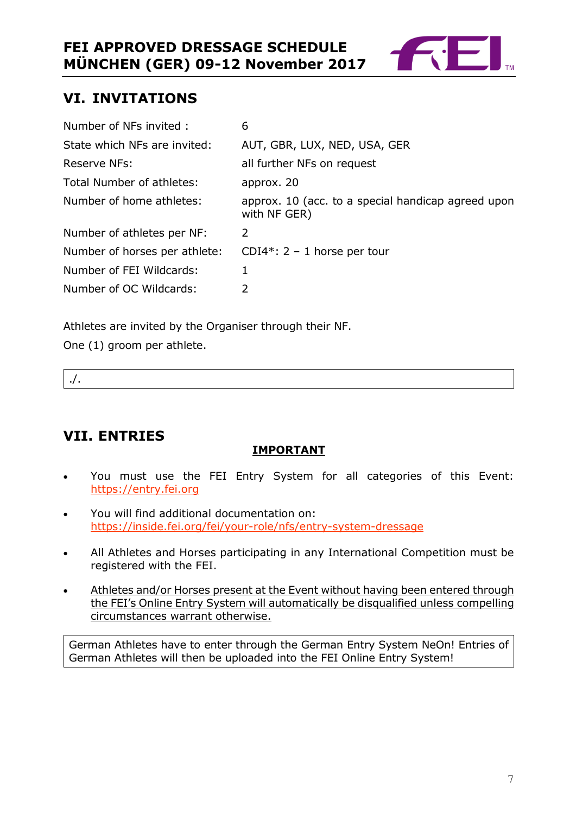

# <span id="page-6-0"></span>**VI. INVITATIONS**

| Number of NFs invited:        | 6                                                                  |
|-------------------------------|--------------------------------------------------------------------|
| State which NFs are invited:  | AUT, GBR, LUX, NED, USA, GER                                       |
| Reserve NFs:                  | all further NFs on request                                         |
| Total Number of athletes:     | approx. 20                                                         |
| Number of home athletes:      | approx. 10 (acc. to a special handicap agreed upon<br>with NF GER) |
| Number of athletes per NF:    | 2                                                                  |
| Number of horses per athlete: | CDI4*: $2 - 1$ horse per tour                                      |
| Number of FEI Wildcards:      | 1                                                                  |
| Number of OC Wildcards:       | 2                                                                  |

Athletes are invited by the Organiser through their NF.

One (1) groom per athlete.

./.

# <span id="page-6-1"></span>**VII. ENTRIES**

## **IMPORTANT**

- You must use the FEI Entry System for all categories of this Event: [https://entry.fei.org](https://entry.fei.org/)
- You will find additional documentation on: <https://inside.fei.org/fei/your-role/nfs/entry-system-dressage>
- All Athletes and Horses participating in any International Competition must be registered with the FEI.
- Athletes and/or Horses present at the Event without having been entered through the FEI's Online Entry System will automatically be disqualified unless compelling circumstances warrant otherwise.

German Athletes have to enter through the German Entry System NeOn! Entries of German Athletes will then be uploaded into the FEI Online Entry System!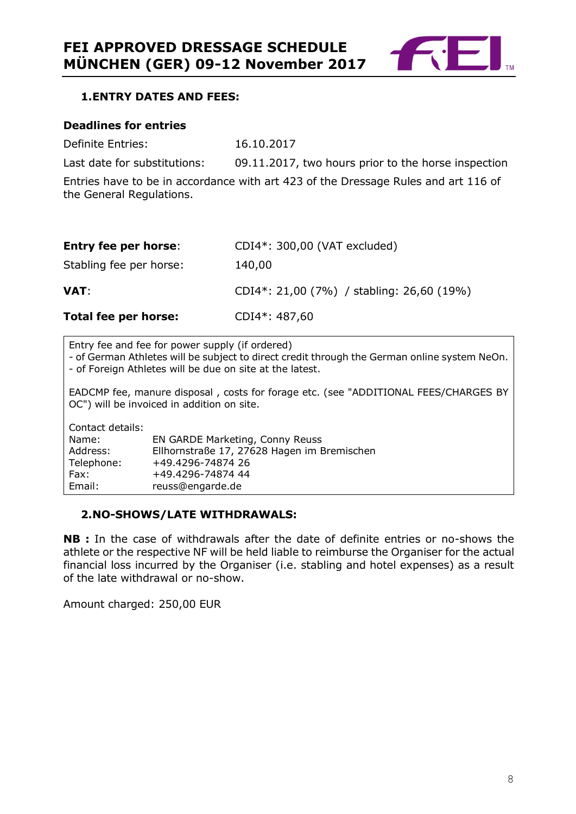

#### <span id="page-7-0"></span>**1.ENTRY DATES AND FEES:**

#### **Deadlines for entries**

Definite Entries: 16.10.2017

Last date for substitutions: 09.11.2017, two hours prior to the horse inspection

Entries have to be in accordance with art 423 of the Dressage Rules and art 116 of the General Regulations.

| <b>Entry fee per horse:</b> | CDI4*: 300,00 (VAT excluded)              |
|-----------------------------|-------------------------------------------|
| Stabling fee per horse:     | 140,00                                    |
| <b>VAT</b> :                | CDI4*: 21,00 (7%) / stabling: 26,60 (19%) |
| Total fee per horse:        | CDI4*: 487,60                             |

Entry fee and fee for power supply (if ordered)

- of German Athletes will be subject to direct credit through the German online system NeOn. - of Foreign Athletes will be due on site at the latest.

EADCMP fee, manure disposal , costs for forage etc. (see "ADDITIONAL FEES/CHARGES BY OC") will be invoiced in addition on site.

| Contact details: |                                             |
|------------------|---------------------------------------------|
| Name:            | EN GARDE Marketing, Conny Reuss             |
| Address:         | Ellhornstraße 17, 27628 Hagen im Bremischen |
| Telephone:       | +49.4296-74874 26                           |
| Fax:             | +49.4296-74874 44                           |
| Email:           | reuss@engarde.de                            |

#### <span id="page-7-1"></span>**2.NO-SHOWS/LATE WITHDRAWALS:**

**NB :** In the case of withdrawals after the date of definite entries or no-shows the athlete or the respective NF will be held liable to reimburse the Organiser for the actual financial loss incurred by the Organiser (i.e. stabling and hotel expenses) as a result of the late withdrawal or no-show.

Amount charged: 250,00 EUR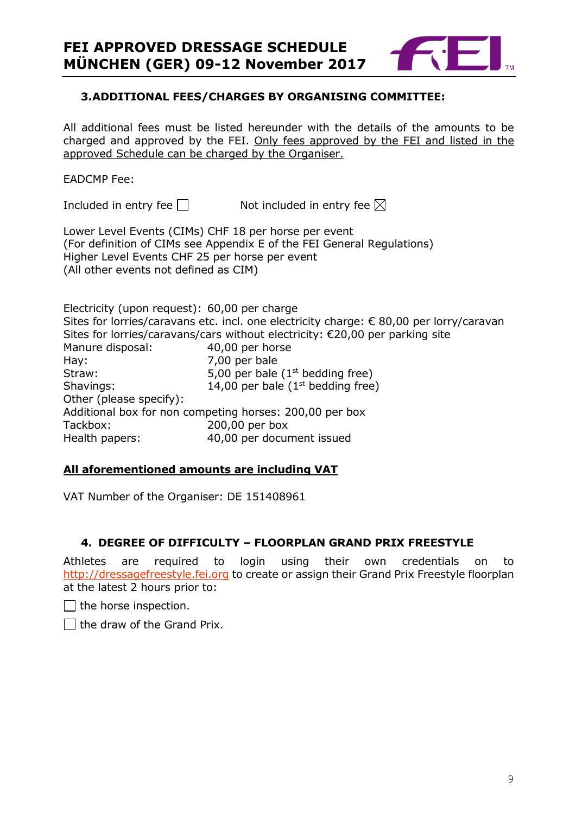

#### <span id="page-8-0"></span>**3.ADDITIONAL FEES/CHARGES BY ORGANISING COMMITTEE:**

All additional fees must be listed hereunder with the details of the amounts to be charged and approved by the FEI. Only fees approved by the FEI and listed in the approved Schedule can be charged by the Organiser.

#### EADCMP Fee:

Included in entry fee  $\square$  Not included in entry fee  $\square$ 

Lower Level Events (CIMs) CHF 18 per horse per event (For definition of CIMs see Appendix E of the FEI General Regulations) Higher Level Events CHF 25 per horse per event (All other events not defined as CIM)

Electricity (upon request): 60,00 per charge Sites for lorries/caravans etc. incl. one electricity charge: € 80,00 per lorry/caravan Sites for lorries/caravans/cars without electricity: €20,00 per parking site Manure disposal: 40,00 per horse Hay: 7,00 per bale Straw:  $5,00$  per bale (1<sup>st</sup> bedding free) Shavings:  $14,00$  per bale ( $1<sup>st</sup>$  bedding free) Other (please specify): Additional box for non competing horses: 200,00 per box Tackbox: 200,00 per box Health papers: 40,00 per document issued

#### **All aforementioned amounts are including VAT**

VAT Number of the Organiser: DE 151408961

#### <span id="page-8-1"></span>**4. DEGREE OF DIFFICULTY – FLOORPLAN GRAND PRIX FREESTYLE**

Athletes are required to login using their own credentials on [http://dressagefreestyle.fei.org](http://dressagefreestyle.fei.org/) to create or assign their Grand Prix Freestyle floorplan at the latest 2 hours prior to:

 $\Box$  the horse inspection.

 $\Box$  the draw of the Grand Prix.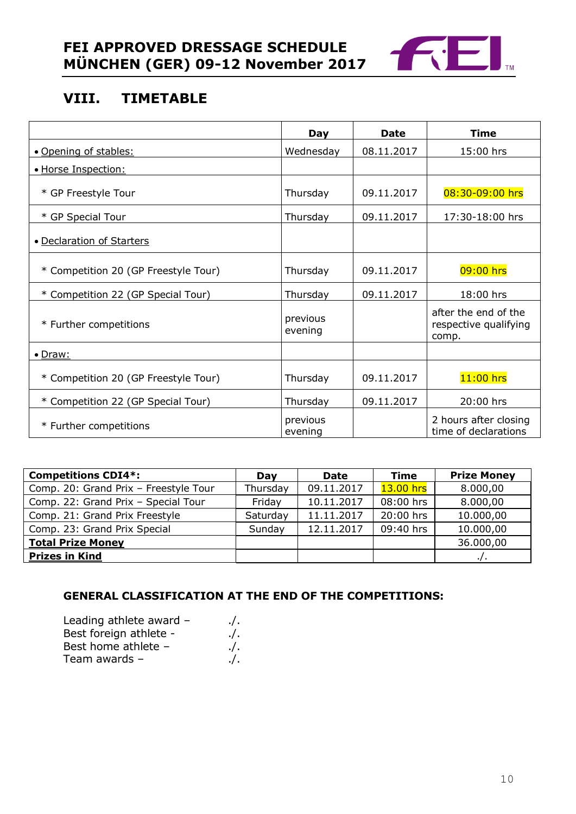

# <span id="page-9-0"></span>**VIII. TIMETABLE**

|                                      | Day                 | <b>Date</b> | <b>Time</b>                                            |
|--------------------------------------|---------------------|-------------|--------------------------------------------------------|
| • Opening of stables:                | Wednesday           | 08.11.2017  | 15:00 hrs                                              |
| · Horse Inspection:                  |                     |             |                                                        |
| * GP Freestyle Tour                  | Thursday            | 09.11.2017  | 08:30-09:00 hrs                                        |
| * GP Special Tour                    | Thursday            | 09.11.2017  | 17:30-18:00 hrs                                        |
| • Declaration of Starters            |                     |             |                                                        |
| * Competition 20 (GP Freestyle Tour) | Thursday            | 09.11.2017  | $09:00$ hrs                                            |
| * Competition 22 (GP Special Tour)   | Thursday            | 09.11.2017  | 18:00 hrs                                              |
| * Further competitions               | previous<br>evening |             | after the end of the<br>respective qualifying<br>comp. |
| $\bullet$ Draw:                      |                     |             |                                                        |
| * Competition 20 (GP Freestyle Tour) | Thursday            | 09.11.2017  | $11:00$ hrs                                            |
| * Competition 22 (GP Special Tour)   | Thursday            | 09.11.2017  | 20:00 hrs                                              |
| * Further competitions               | previous<br>evening |             | 2 hours after closing<br>time of declarations          |

| <b>Competitions CDI4*:</b>            | Dav      | <b>Date</b> | Time        | <b>Prize Money</b> |
|---------------------------------------|----------|-------------|-------------|--------------------|
| Comp. 20: Grand Prix - Freestyle Tour | Thursday | 09.11.2017  | $13.00$ hrs | 8.000,00           |
| Comp. 22: Grand Prix - Special Tour   | Friday   | 10.11.2017  | 08:00 hrs   | 8.000,00           |
| Comp. 21: Grand Prix Freestyle        | Saturday | 11.11.2017  | 20:00 hrs   | 10.000,00          |
| Comp. 23: Grand Prix Special          | Sunday   | 12.11.2017  | 09:40 hrs   | 10.000,00          |
| <b>Total Prize Money</b>              |          |             |             | 36.000,00          |
| <b>Prizes in Kind</b>                 |          |             |             |                    |

### **GENERAL CLASSIFICATION AT THE END OF THE COMPETITIONS:**

| Leading athlete award - | $\cdot$ . |
|-------------------------|-----------|
| Best foreign athlete -  | $\cdot$ . |
| Best home athlete -     | $\cdot$ . |
| Team awards -           | $\cdot$ . |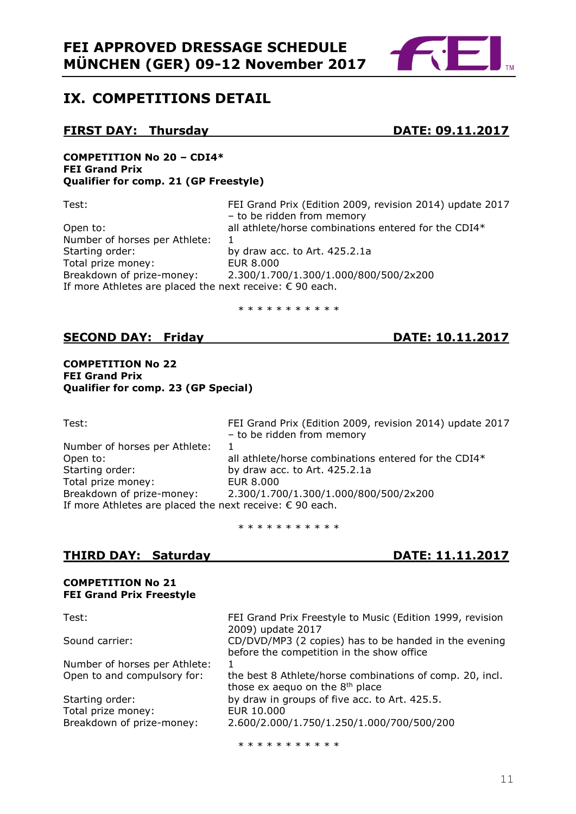

# <span id="page-10-0"></span>**IX. COMPETITIONS DETAIL**

#### **FIRST DAY: Thursday BATE: 09.11.2017**

#### **COMPETITION No 20 – CDI4\* FEI Grand Prix Qualifier for comp. 21 (GP Freestyle)**

| Test:                                                             | FEI Grand Prix (Edition 2009, revision 2014) update 2017<br>- to be ridden from memory |
|-------------------------------------------------------------------|----------------------------------------------------------------------------------------|
| Open to:                                                          | all athlete/horse combinations entered for the CDI4*                                   |
|                                                                   |                                                                                        |
| Number of horses per Athlete:                                     |                                                                                        |
| Starting order:                                                   | by draw acc. to Art. 425.2.1a                                                          |
| Total prize money:                                                | EUR 8.000                                                                              |
| Breakdown of prize-money:                                         | 2.300/1.700/1.300/1.000/800/500/2x200                                                  |
| If more Athletes are placed the next receive: $\epsilon$ 90 each. |                                                                                        |

\* \* \* \* \* \* \* \* \* \* \*

#### **SECOND DAY: Friday DATE: 10.11.2017**

**COMPETITION No 22 FEI Grand Prix Qualifier for comp. 23 (GP Special)**

| ×<br>v<br>$\overline{\phantom{a}}$<br>v<br>., |  |
|-----------------------------------------------|--|

FEI Grand Prix (Edition 2009, revision 2014) update 2017 – to be ridden from memory Number of horses per Athlete: 1 Open to: all athlete/horse combinations entered for the CDI4\*<br>Starting order: by draw acc. to Art. 425.2.1a by draw acc. to Art.  $425.2.1a$ <br>EUR  $8.000$ Total prize money:<br>Breakdown of prize-money: Breakdown of prize-money: 2.300/1.700/1.300/1.000/800/500/2x200 If more Athletes are placed the next receive: € 90 each.

\* \* \* \* \* \* \* \* \* \*

### **THIRD DAY: Saturday DATE: 11.11.2017**

# **COMPETITION No 21 FEI Grand Prix Freestyle**

| Test:                         | FEI Grand Prix Freestyle to Music (Edition 1999, revision<br>2009) update 2017                          |
|-------------------------------|---------------------------------------------------------------------------------------------------------|
| Sound carrier:                | CD/DVD/MP3 (2 copies) has to be handed in the evening<br>before the competition in the show office      |
| Number of horses per Athlete: |                                                                                                         |
| Open to and compulsory for:   | the best 8 Athlete/horse combinations of comp. 20, incl.<br>those ex aequo on the 8 <sup>th</sup> place |
| Starting order:               | by draw in groups of five acc. to Art. 425.5.                                                           |
| Total prize money:            | EUR 10.000                                                                                              |
| Breakdown of prize-money:     | 2.600/2.000/1.750/1.250/1.000/700/500/200                                                               |

\* \* \* \* \* \* \* \* \* \*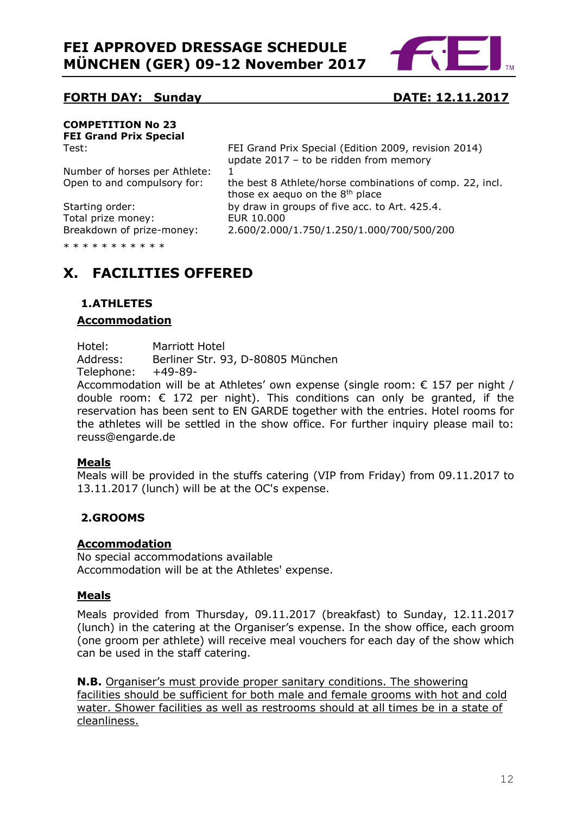

#### **FORTH DAY: Sunday <b>DATE: 12.11.2017**

# <span id="page-11-0"></span>**COMPETITION No 23 FEI Grand Prix Special**

Test: FEI Grand Prix Special (Edition 2009, revision 2014) update 2017 – to be ridden from memory

Number of horses per Athlete: 1 Open to and compulsory for: the best 8 Athlete/horse combinations of comp. 22, incl.

Total prize money:

those ex aequo on the  $8<sup>th</sup>$  place Starting order:<br>
Total prize money: EUR 10.000 Breakdown of prize-money: 2.600/2.000/1.750/1.250/1.000/700/500/200

\* \* \* \* \* \* \* \* \* \*

# **X. FACILITIES OFFERED**

# <span id="page-11-1"></span>**1.ATHLETES**

#### **Accommodation**

Hotel: Marriott Hotel Address: Berliner Str. 93, D-80805 München Telephone: +49-89-

Accommodation will be at Athletes' own expense (single room:  $\epsilon$  157 per night / double room:  $\epsilon$  172 per night). This conditions can only be granted, if the reservation has been sent to EN GARDE together with the entries. Hotel rooms for the athletes will be settled in the show office. For further inquiry please mail to: reuss@engarde.de

#### **Meals**

Meals will be provided in the stuffs catering (VIP from Friday) from 09.11.2017 to 13.11.2017 (lunch) will be at the OC's expense.

### <span id="page-11-2"></span>**2.GROOMS**

#### **Accommodation**

No special accommodations available Accommodation will be at the Athletes' expense.

### **Meals**

Meals provided from Thursday, 09.11.2017 (breakfast) to Sunday, 12.11.2017 (lunch) in the catering at the Organiser's expense. In the show office, each groom (one groom per athlete) will receive meal vouchers for each day of the show which can be used in the staff catering.

**N.B.** Organiser's must provide proper sanitary conditions. The showering facilities should be sufficient for both male and female grooms with hot and cold water. Shower facilities as well as restrooms should at all times be in a state of cleanliness.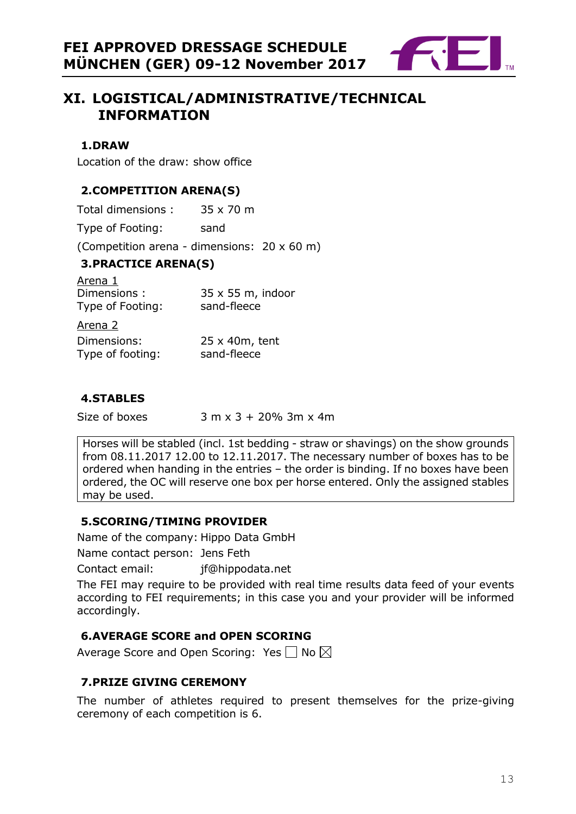

# <span id="page-12-0"></span>**XI. LOGISTICAL/ADMINISTRATIVE/TECHNICAL INFORMATION**

#### <span id="page-12-1"></span>**1.DRAW**

Location of the draw: show office

### <span id="page-12-2"></span>**2.COMPETITION ARENA(S)**

<span id="page-12-3"></span>

| Total dimensions:                          | 35 x 70 m                                   |
|--------------------------------------------|---------------------------------------------|
| Type of Footing:                           | sand                                        |
|                                            | (Competition arena - dimensions: 20 x 60 m) |
| <b>3. PRACTICE ARENA(S)</b>                |                                             |
| Arena 1<br>Dimensions:<br>Type of Footing: | $35 \times 55$ m, indoor<br>sand-fleece     |
| Arena 2                                    |                                             |
| Dimensions:<br>Type of footing:            | 25 x 40m, tent<br>sand-fleece               |

#### <span id="page-12-4"></span>**4.STABLES**

Size of boxes  $3 \text{ m} \times 3 + 20\%$  3m  $\times$  4m

Horses will be stabled (incl. 1st bedding - straw or shavings) on the show grounds from 08.11.2017 12.00 to 12.11.2017. The necessary number of boxes has to be ordered when handing in the entries – the order is binding. If no boxes have been ordered, the OC will reserve one box per horse entered. Only the assigned stables may be used.

### <span id="page-12-5"></span>**5.SCORING/TIMING PROVIDER**

Name of the company: Hippo Data GmbH Name contact person: Jens Feth

Contact email: jf@hippodata.net

The FEI may require to be provided with real time results data feed of your events according to FEI requirements; in this case you and your provider will be informed accordingly.

### <span id="page-12-6"></span>**6.AVERAGE SCORE and OPEN SCORING**

Average Score and Open Scoring: Yes  $\Box$  No  $\boxtimes$ 

### <span id="page-12-7"></span>**7.PRIZE GIVING CEREMONY**

<span id="page-12-8"></span>The number of athletes required to present themselves for the prize-giving ceremony of each competition is 6.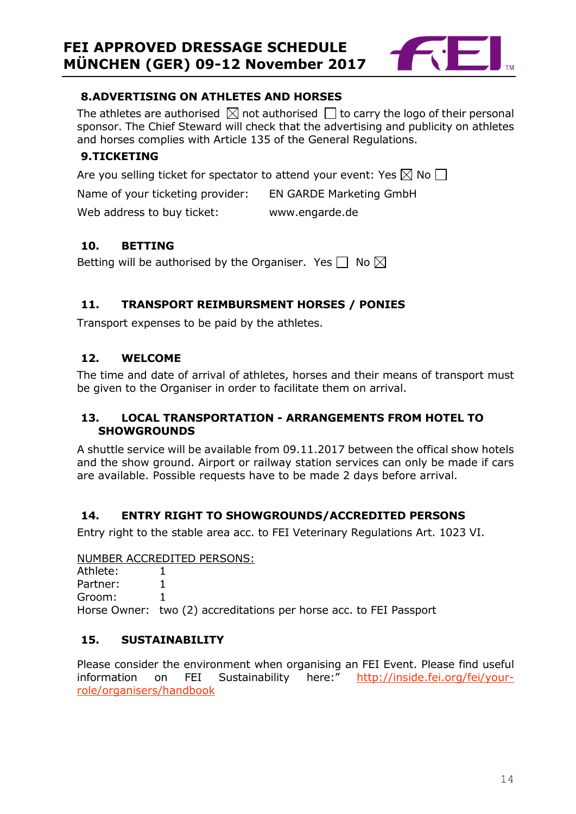

### **8.ADVERTISING ON ATHLETES AND HORSES**

The athletes are authorised  $\boxtimes$  not authorised  $\Box$  to carry the logo of their personal sponsor. The Chief Steward will check that the advertising and publicity on athletes and horses complies with Article 135 of the General Regulations.

#### <span id="page-13-0"></span>**9.TICKETING**

Are you selling ticket for spectator to attend your event: Yes  $\boxtimes$  No  $\Box$ 

Name of your ticketing provider: EN GARDE Marketing GmbH

Web address to buy ticket: www.engarde.de

#### <span id="page-13-1"></span>**10. BETTING**

Betting will be authorised by the Organiser. Yes  $\Box$  No  $\boxtimes$ 

### <span id="page-13-2"></span>**11. TRANSPORT REIMBURSMENT HORSES / PONIES**

Transport expenses to be paid by the athletes.

#### <span id="page-13-3"></span>**12. WELCOME**

The time and date of arrival of athletes, horses and their means of transport must be given to the Organiser in order to facilitate them on arrival.

#### <span id="page-13-4"></span>**13. LOCAL TRANSPORTATION - ARRANGEMENTS FROM HOTEL TO SHOWGROUNDS**

A shuttle service will be available from 09.11.2017 between the offical show hotels and the show ground. Airport or railway station services can only be made if cars are available. Possible requests have to be made 2 days before arrival.

#### <span id="page-13-5"></span>**14. ENTRY RIGHT TO SHOWGROUNDS/ACCREDITED PERSONS**

Entry right to the stable area acc. to FEI Veterinary Regulations Art. 1023 VI.

#### NUMBER ACCREDITED PERSONS:

Athlete: 1 Partner: 1 Groom: 1 Horse Owner: two (2) accreditations per horse acc. to FEI Passport

#### <span id="page-13-6"></span>**15. SUSTAINABILITY**

Please consider the environment when organising an FEI Event. Please find useful information on FEI Sustainability here:" [http://inside.fei.org/fei/your](http://inside.fei.org/fei/your-role/organisers/handbook)[role/organisers/handbook](http://inside.fei.org/fei/your-role/organisers/handbook)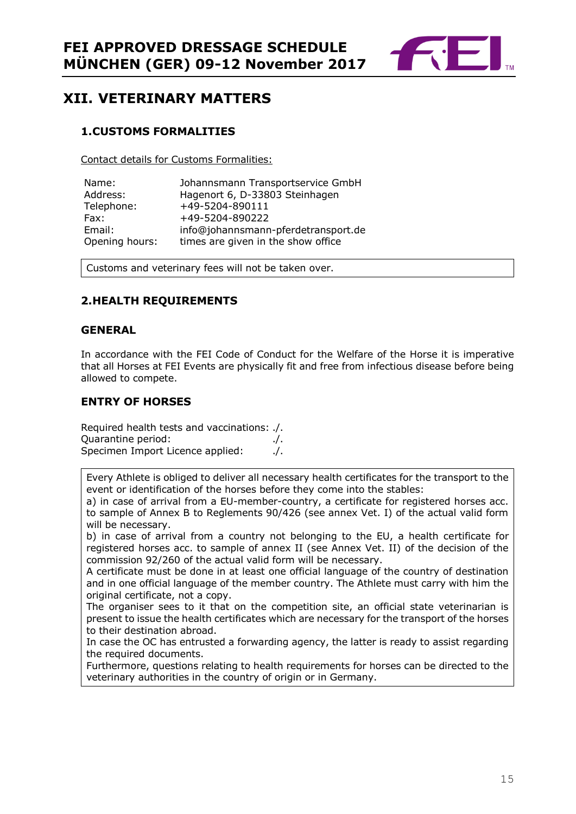

# <span id="page-14-0"></span>**XII. VETERINARY MATTERS**

#### <span id="page-14-1"></span>**1.CUSTOMS FORMALITIES**

Contact details for Customs Formalities:

| Name:          | Johannsmann Transportservice GmbH   |
|----------------|-------------------------------------|
| Address:       | Hagenort 6, D-33803 Steinhagen      |
| Telephone:     | +49-5204-890111                     |
| Fax:           | +49-5204-890222                     |
| Email:         | info@johannsmann-pferdetransport.de |
| Opening hours: | times are given in the show office  |

Customs and veterinary fees will not be taken over.

#### <span id="page-14-2"></span>**2.HEALTH REQUIREMENTS**

#### **GENERAL**

In accordance with the FEI Code of Conduct for the Welfare of the Horse it is imperative that all Horses at FEI Events are physically fit and free from infectious disease before being allowed to compete.

#### **ENTRY OF HORSES**

Required health tests and vaccinations: ./. Quarantine period: ./. Specimen Import Licence applied: ./.

Every Athlete is obliged to deliver all necessary health certificates for the transport to the event or identification of the horses before they come into the stables:

a) in case of arrival from a EU-member-country, a certificate for registered horses acc. to sample of Annex B to Reglements 90/426 (see annex Vet. I) of the actual valid form will be necessary.

b) in case of arrival from a country not belonging to the EU, a health certificate for registered horses acc. to sample of annex II (see Annex Vet. II) of the decision of the commission 92/260 of the actual valid form will be necessary.

A certificate must be done in at least one official language of the country of destination and in one official language of the member country. The Athlete must carry with him the original certificate, not a copy.

The organiser sees to it that on the competition site, an official state veterinarian is present to issue the health certificates which are necessary for the transport of the horses to their destination abroad.

In case the OC has entrusted a forwarding agency, the latter is ready to assist regarding the required documents.

Furthermore, questions relating to health requirements for horses can be directed to the veterinary authorities in the country of origin or in Germany.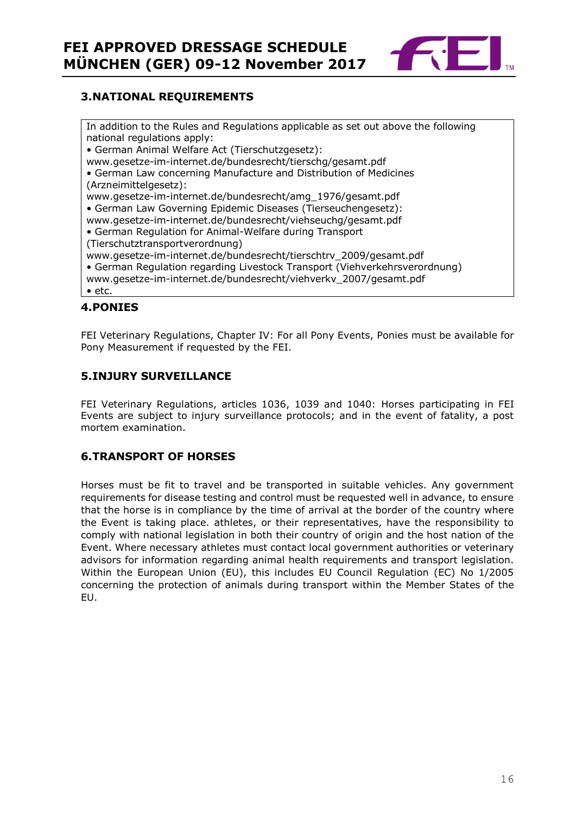

#### <span id="page-15-0"></span>**3.NATIONAL REQUIREMENTS**

In addition to the Rules and Regulations applicable as set out above the following national regulations apply: • German Animal Welfare Act (Tierschutzgesetz): www.gesetze-im-internet.de/bundesrecht/tierschg/gesamt.pdf • German Law concerning Manufacture and Distribution of Medicines (Arzneimittelgesetz): www.gesetze-im-internet.de/bundesrecht/amg\_1976/gesamt.pdf • German Law Governing Epidemic Diseases (Tierseuchengesetz): www.gesetze-im-internet.de/bundesrecht/viehseuchg/gesamt.pdf • German Regulation for Animal-Welfare during Transport (Tierschutztransportverordnung) www.gesetze-im-internet.de/bundesrecht/tierschtrv\_2009/gesamt.pdf • German Regulation regarding Livestock Transport (Viehverkehrsverordnung) www.gesetze-im-internet.de/bundesrecht/viehverkv\_2007/gesamt.pdf • etc.

#### <span id="page-15-1"></span>**4.PONIES**

FEI Veterinary Regulations, Chapter IV: For all Pony Events, Ponies must be available for Pony Measurement if requested by the FEI.

#### <span id="page-15-2"></span>**5.INJURY SURVEILLANCE**

FEI Veterinary Regulations, articles 1036, 1039 and 1040: Horses participating in FEI Events are subject to injury surveillance protocols; and in the event of fatality, a post mortem examination.

#### <span id="page-15-3"></span>**6.TRANSPORT OF HORSES**

Horses must be fit to travel and be transported in suitable vehicles. Any government requirements for disease testing and control must be requested well in advance, to ensure that the horse is in compliance by the time of arrival at the border of the country where the Event is taking place. athletes, or their representatives, have the responsibility to comply with national legislation in both their country of origin and the host nation of the Event. Where necessary athletes must contact local government authorities or veterinary advisors for information regarding animal health requirements and transport legislation. Within the European Union (EU), this includes EU Council Regulation (EC) No 1/2005 concerning the protection of animals during transport within the Member States of the EU.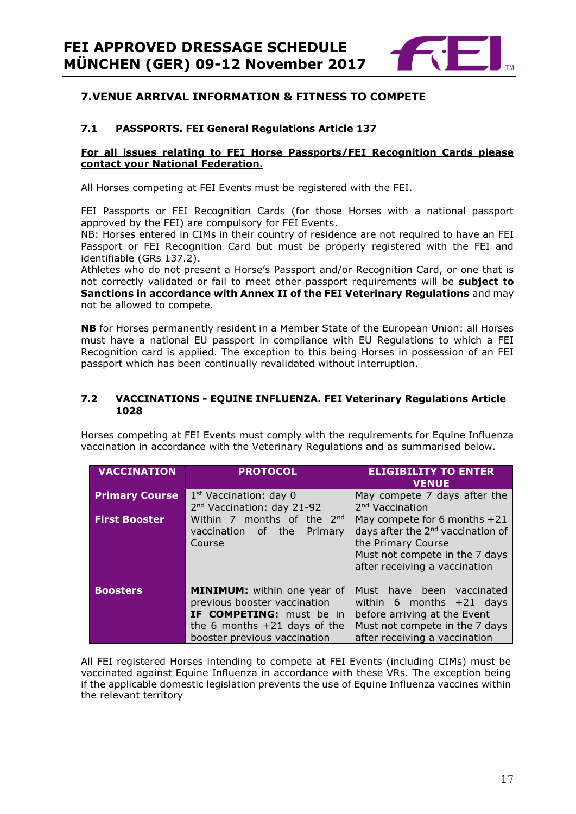

#### <span id="page-16-0"></span>**7.VENUE ARRIVAL INFORMATION & FITNESS TO COMPETE**

#### **7.1 PASSPORTS. FEI General Regulations Article 137**

#### **For all issues relating to FEI Horse Passports/FEI Recognition Cards please contact your National Federation.**

All Horses competing at FEI Events must be registered with the FEI.

FEI Passports or FEI Recognition Cards (for those Horses with a national passport approved by the FEI) are compulsory for FEI Events.

NB: Horses entered in CIMs in their country of residence are not required to have an FEI Passport or FEI Recognition Card but must be properly registered with the FEI and identifiable (GRs 137.2).

Athletes who do not present a Horse's Passport and/or Recognition Card, or one that is not correctly validated or fail to meet other passport requirements will be **subject to Sanctions in accordance with Annex II of the FEI Veterinary Regulations** and may not be allowed to compete.

**NB** for Horses permanently resident in a Member State of the European Union: all Horses must have a national EU passport in compliance with EU Regulations to which a FEI Recognition card is applied. The exception to this being Horses in possession of an FEI passport which has been continually revalidated without interruption.

#### **7.2 VACCINATIONS - EQUINE INFLUENZA. FEI Veterinary Regulations Article 1028**

Horses competing at FEI Events must comply with the requirements for Equine Influenza vaccination in accordance with the Veterinary Regulations and as summarised below.

| <b>VACCINATION</b>    | <b>PROTOCOL</b>                                                                                                                                                  | <b>ELIGIBILITY TO ENTER</b><br><b>VENUE</b>                                                                                                                              |
|-----------------------|------------------------------------------------------------------------------------------------------------------------------------------------------------------|--------------------------------------------------------------------------------------------------------------------------------------------------------------------------|
| <b>Primary Course</b> | $1st$ Vaccination: day 0<br>2 <sup>nd</sup> Vaccination: day 21-92                                                                                               | May compete 7 days after the<br>2 <sup>nd</sup> Vaccination                                                                                                              |
| <b>First Booster</b>  | Within 7 months of the 2nd<br>the <b>the</b><br>vaccination<br>Primary<br>of -<br>Course                                                                         | May compete for 6 months $+21$<br>days after the 2 <sup>nd</sup> vaccination of<br>the Primary Course<br>Must not compete in the 7 days<br>after receiving a vaccination |
| <b>Boosters</b>       | <b>MINIMUM:</b> within one year of<br>previous booster vaccination<br>IF COMPETING: must be in<br>the 6 months $+21$ days of the<br>booster previous vaccination | Must have been<br>vaccinated<br>within 6 months $+21$ days<br>before arriving at the Event<br>Must not compete in the 7 days<br>after receiving a vaccination            |

All FEI registered Horses intending to compete at FEI Events (including CIMs) must be vaccinated against Equine Influenza in accordance with these VRs. The exception being if the applicable domestic legislation prevents the use of Equine Influenza vaccines within the relevant territory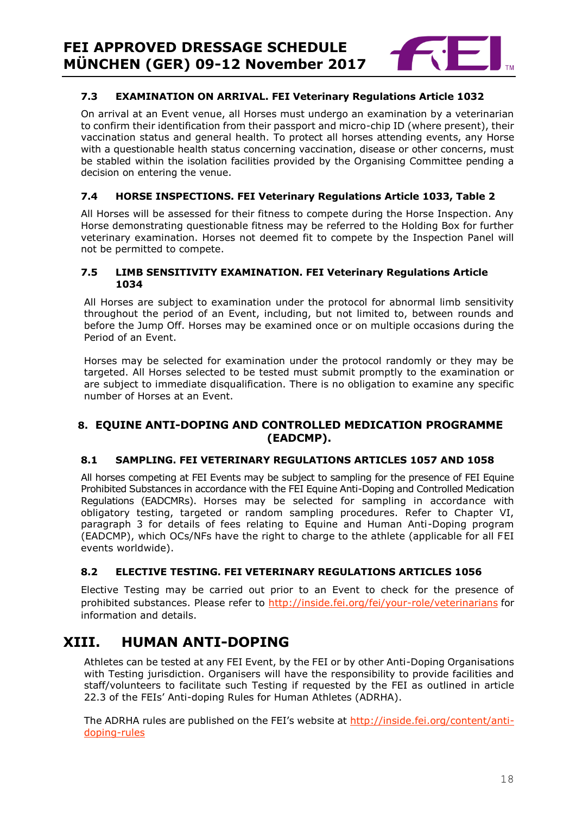

#### **7.3 EXAMINATION ON ARRIVAL. FEI Veterinary Regulations Article 1032**

On arrival at an Event venue, all Horses must undergo an examination by a veterinarian to confirm their identification from their passport and micro-chip ID (where present), their vaccination status and general health. To protect all horses attending events, any Horse with a questionable health status concerning vaccination, disease or other concerns, must be stabled within the isolation facilities provided by the Organising Committee pending a decision on entering the venue.

#### **7.4 HORSE INSPECTIONS. FEI Veterinary Regulations Article 1033, Table 2**

All Horses will be assessed for their fitness to compete during the Horse Inspection. Any Horse demonstrating questionable fitness may be referred to the Holding Box for further veterinary examination. Horses not deemed fit to compete by the Inspection Panel will not be permitted to compete.

#### **7.5 LIMB SENSITIVITY EXAMINATION. FEI Veterinary Regulations Article 1034**

All Horses are subject to examination under the protocol for abnormal limb sensitivity throughout the period of an Event, including, but not limited to, between rounds and before the Jump Off. Horses may be examined once or on multiple occasions during the Period of an Event.

Horses may be selected for examination under the protocol randomly or they may be targeted. All Horses selected to be tested must submit promptly to the examination or are subject to immediate disqualification. There is no obligation to examine any specific number of Horses at an Event.

#### <span id="page-17-0"></span>**8. EQUINE ANTI-DOPING AND CONTROLLED MEDICATION PROGRAMME (EADCMP).**

#### **8.1 SAMPLING. FEI VETERINARY REGULATIONS ARTICLES 1057 AND 1058**

All horses competing at FEI Events may be subject to sampling for the presence of FEI Equine Prohibited Substances in accordance with the FEI Equine Anti-Doping and Controlled Medication Regulations (EADCMRs). Horses may be selected for sampling in accordance with obligatory testing, targeted or random sampling procedures. Refer to Chapter VI, paragraph 3 for details of fees relating to Equine and Human Anti-Doping program (EADCMP), which OCs/NFs have the right to charge to the athlete (applicable for all FEI events worldwide).

#### **8.2 ELECTIVE TESTING. FEI VETERINARY REGULATIONS ARTICLES 1056**

Elective Testing may be carried out prior to an Event to check for the presence of prohibited substances. Please refer to<http://inside.fei.org/fei/your-role/veterinarians> for information and details.

# <span id="page-17-1"></span>**XIII. HUMAN ANTI-DOPING**

Athletes can be tested at any FEI Event, by the FEI or by other Anti-Doping Organisations with Testing jurisdiction. Organisers will have the responsibility to provide facilities and staff/volunteers to facilitate such Testing if requested by the FEI as outlined in article 22.3 of the FEIs' Anti-doping Rules for Human Athletes (ADRHA).

The ADRHA rules are published on the FEI's website at [http://inside.fei.org/content/anti](http://inside.fei.org/content/anti-doping-rules)[doping-rules](http://inside.fei.org/content/anti-doping-rules)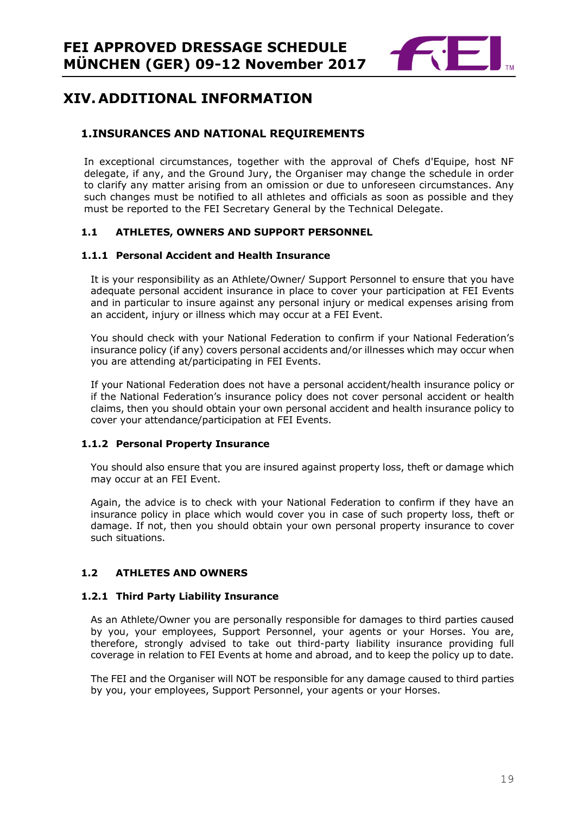

# <span id="page-18-0"></span>**XIV. ADDITIONAL INFORMATION**

#### <span id="page-18-1"></span>**1.INSURANCES AND NATIONAL REQUIREMENTS**

In exceptional circumstances, together with the approval of Chefs d'Equipe, host NF delegate, if any, and the Ground Jury, the Organiser may change the schedule in order to clarify any matter arising from an omission or due to unforeseen circumstances. Any such changes must be notified to all athletes and officials as soon as possible and they must be reported to the FEI Secretary General by the Technical Delegate.

#### **1.1 ATHLETES, OWNERS AND SUPPORT PERSONNEL**

#### **1.1.1 Personal Accident and Health Insurance**

It is your responsibility as an Athlete/Owner/ Support Personnel to ensure that you have adequate personal accident insurance in place to cover your participation at FEI Events and in particular to insure against any personal injury or medical expenses arising from an accident, injury or illness which may occur at a FEI Event.

You should check with your National Federation to confirm if your National Federation's insurance policy (if any) covers personal accidents and/or illnesses which may occur when you are attending at/participating in FEI Events.

If your National Federation does not have a personal accident/health insurance policy or if the National Federation's insurance policy does not cover personal accident or health claims, then you should obtain your own personal accident and health insurance policy to cover your attendance/participation at FEI Events.

#### **1.1.2 Personal Property Insurance**

You should also ensure that you are insured against property loss, theft or damage which may occur at an FEI Event.

Again, the advice is to check with your National Federation to confirm if they have an insurance policy in place which would cover you in case of such property loss, theft or damage. If not, then you should obtain your own personal property insurance to cover such situations.

#### **1.2 ATHLETES AND OWNERS**

#### **1.2.1 Third Party Liability Insurance**

As an Athlete/Owner you are personally responsible for damages to third parties caused by you, your employees, Support Personnel, your agents or your Horses. You are, therefore, strongly advised to take out third-party liability insurance providing full coverage in relation to FEI Events at home and abroad, and to keep the policy up to date.

The FEI and the Organiser will NOT be responsible for any damage caused to third parties by you, your employees, Support Personnel, your agents or your Horses.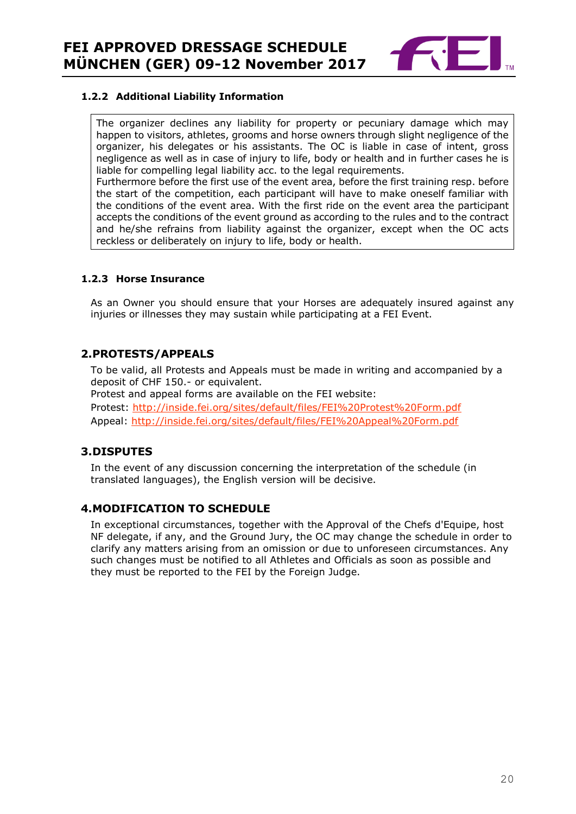

#### **1.2.2 Additional Liability Information**

The organizer declines any liability for property or pecuniary damage which may happen to visitors, athletes, grooms and horse owners through slight negligence of the organizer, his delegates or his assistants. The OC is liable in case of intent, gross negligence as well as in case of injury to life, body or health and in further cases he is liable for compelling legal liability acc. to the legal requirements. Furthermore before the first use of the event area, before the first training resp. before the start of the competition, each participant will have to make oneself familiar with

the conditions of the event area. With the first ride on the event area the participant accepts the conditions of the event ground as according to the rules and to the contract and he/she refrains from liability against the organizer, except when the OC acts reckless or deliberately on injury to life, body or health.

#### **1.2.3 Horse Insurance**

As an Owner you should ensure that your Horses are adequately insured against any injuries or illnesses they may sustain while participating at a FEI Event.

#### <span id="page-19-0"></span>**2.PROTESTS/APPEALS**

To be valid, all Protests and Appeals must be made in writing and accompanied by a deposit of CHF 150.- or equivalent.

Protest and appeal forms are available on the FEI website:

Protest:<http://inside.fei.org/sites/default/files/FEI%20Protest%20Form.pdf> Appeal:<http://inside.fei.org/sites/default/files/FEI%20Appeal%20Form.pdf>

#### <span id="page-19-1"></span>**3.DISPUTES**

In the event of any discussion concerning the interpretation of the schedule (in translated languages), the English version will be decisive.

#### <span id="page-19-2"></span>**4.MODIFICATION TO SCHEDULE**

<span id="page-19-3"></span>In exceptional circumstances, together with the Approval of the Chefs d'Equipe, host NF delegate, if any, and the Ground Jury, the OC may change the schedule in order to clarify any matters arising from an omission or due to unforeseen circumstances. Any such changes must be notified to all Athletes and Officials as soon as possible and they must be reported to the FEI by the Foreign Judge.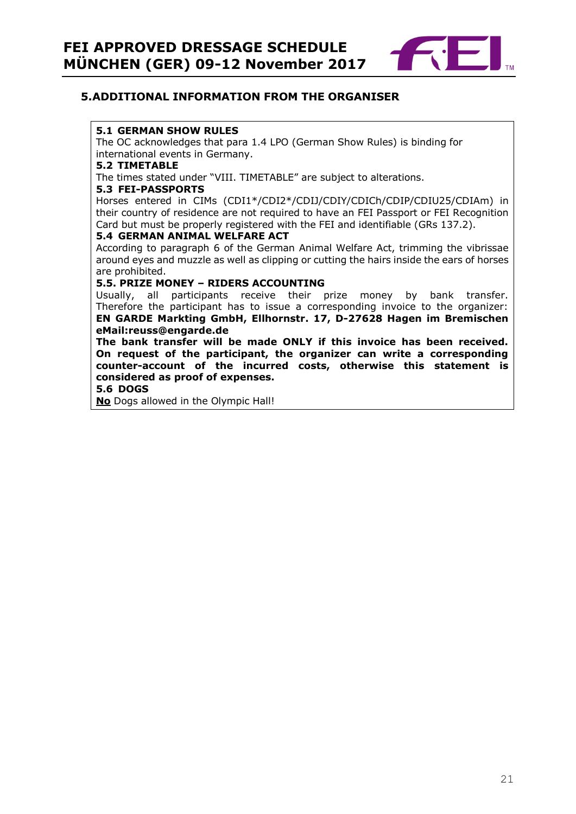

#### **5.ADDITIONAL INFORMATION FROM THE ORGANISER**

#### **5.1 GERMAN SHOW RULES**

The OC acknowledges that para 1.4 LPO (German Show Rules) is binding for international events in Germany.

#### **5.2 TIMETABLE**

The times stated under "VIII. TIMETABLE" are subject to alterations.

#### **5.3 FEI-PASSPORTS**

Horses entered in CIMs (CDI1\*/CDI2\*/CDIJ/CDIY/CDICh/CDIP/CDIU25/CDIAm) in their country of residence are not required to have an FEI Passport or FEI Recognition Card but must be properly registered with the FEI and identifiable (GRs 137.2).

#### **5.4 GERMAN ANIMAL WELFARE ACT**

According to paragraph 6 of the German Animal Welfare Act, trimming the vibrissae around eyes and muzzle as well as clipping or cutting the hairs inside the ears of horses are prohibited.

#### **5.5. PRIZE MONEY – RIDERS ACCOUNTING**

Usually, all participants receive their prize money by bank transfer. Therefore the participant has to issue a corresponding invoice to the organizer: **EN GARDE Markting GmbH, Ellhornstr. 17, D-27628 Hagen im Bremischen eMail:reuss@engarde.de** 

**The bank transfer will be made ONLY if this invoice has been received. On request of the participant, the organizer can write a corresponding counter-account of the incurred costs, otherwise this statement is considered as proof of expenses.**

#### **5.6 DOGS**

**No** Dogs allowed in the Olympic Hall!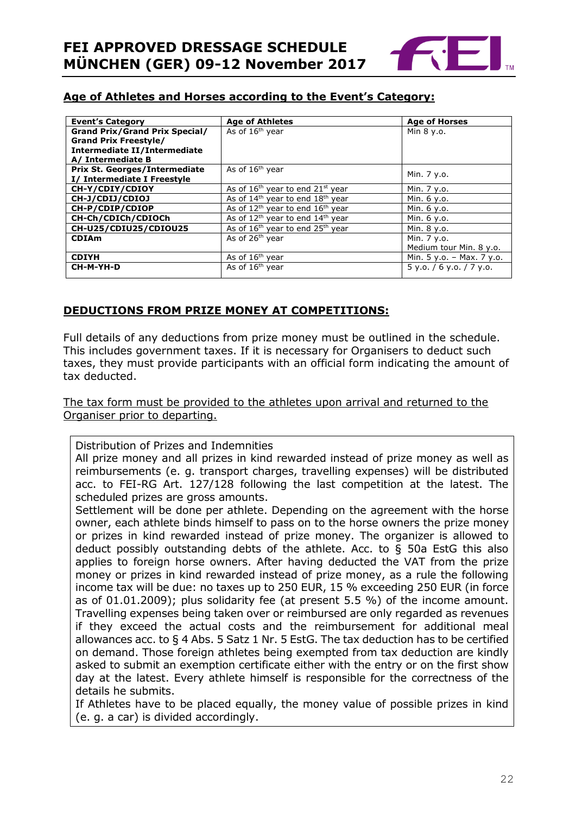

#### **Age of Athletes and Horses according to the Event's Category:**

| <b>Event's Category</b>               | <b>Age of Athletes</b>                                   | <b>Age of Horses</b>        |
|---------------------------------------|----------------------------------------------------------|-----------------------------|
| <b>Grand Prix/Grand Prix Special/</b> | As of 16 <sup>th</sup> year                              | Min 8 y.o.                  |
| <b>Grand Prix Freestyle/</b>          |                                                          |                             |
| Intermediate II/Intermediate          |                                                          |                             |
| A/ Intermediate B                     |                                                          |                             |
| <b>Prix St. Georges/Intermediate</b>  | As of 16 <sup>th</sup> year                              | Min. 7 y.o.                 |
| I/ Intermediate I Freestyle           |                                                          |                             |
| CH-Y/CDIY/CDIOY                       | As of $16th$ year to end $21st$ year                     | Min. 7 y.o.                 |
| CH-J/CDIJ/CDIOJ                       | As of 14 <sup>th</sup> year to end 18 <sup>th</sup> year | Min. 6 y.o.                 |
| CH-P/CDIP/CDIOP                       | As of $12^{th}$ year to end $16^{th}$ year               | Min. 6 y.o.                 |
| CH-Ch/CDICh/CDIOCh                    | As of $12^{th}$ year to end $14^{th}$ year               | Min. 6 y.o.                 |
| CH-U25/CDIU25/CDIOU25                 | As of 16 <sup>th</sup> year to end 25 <sup>th</sup> year | Min. 8 y.o.                 |
| <b>CDIAm</b>                          | As of 26 <sup>th</sup> year                              | Min. 7 y.o.                 |
|                                       |                                                          | Medium tour Min. 8 y.o.     |
| <b>CDIYH</b>                          | As of $16th$ year                                        | Min. $5 y.o. - Max. 7 y.o.$ |
| CH-M-YH-D                             | As of 16 <sup>th</sup> year                              | $5$ y.o. / 6 y.o. / 7 y.o.  |
|                                       |                                                          |                             |

### **DEDUCTIONS FROM PRIZE MONEY AT COMPETITIONS:**

Full details of any deductions from prize money must be outlined in the schedule. This includes government taxes. If it is necessary for Organisers to deduct such taxes, they must provide participants with an official form indicating the amount of tax deducted.

The tax form must be provided to the athletes upon arrival and returned to the Organiser prior to departing.

Distribution of Prizes and Indemnities

All prize money and all prizes in kind rewarded instead of prize money as well as reimbursements (e. g. transport charges, travelling expenses) will be distributed acc. to FEI-RG Art. 127/128 following the last competition at the latest. The scheduled prizes are gross amounts.

Settlement will be done per athlete. Depending on the agreement with the horse owner, each athlete binds himself to pass on to the horse owners the prize money or prizes in kind rewarded instead of prize money. The organizer is allowed to deduct possibly outstanding debts of the athlete. Acc. to § 50a EstG this also applies to foreign horse owners. After having deducted the VAT from the prize money or prizes in kind rewarded instead of prize money, as a rule the following income tax will be due: no taxes up to 250 EUR, 15 % exceeding 250 EUR (in force as of 01.01.2009); plus solidarity fee (at present 5.5 %) of the income amount. Travelling expenses being taken over or reimbursed are only regarded as revenues if they exceed the actual costs and the reimbursement for additional meal allowances acc. to § 4 Abs. 5 Satz 1 Nr. 5 EstG. The tax deduction has to be certified on demand. Those foreign athletes being exempted from tax deduction are kindly asked to submit an exemption certificate either with the entry or on the first show day at the latest. Every athlete himself is responsible for the correctness of the details he submits.

If Athletes have to be placed equally, the money value of possible prizes in kind (e. g. a car) is divided accordingly.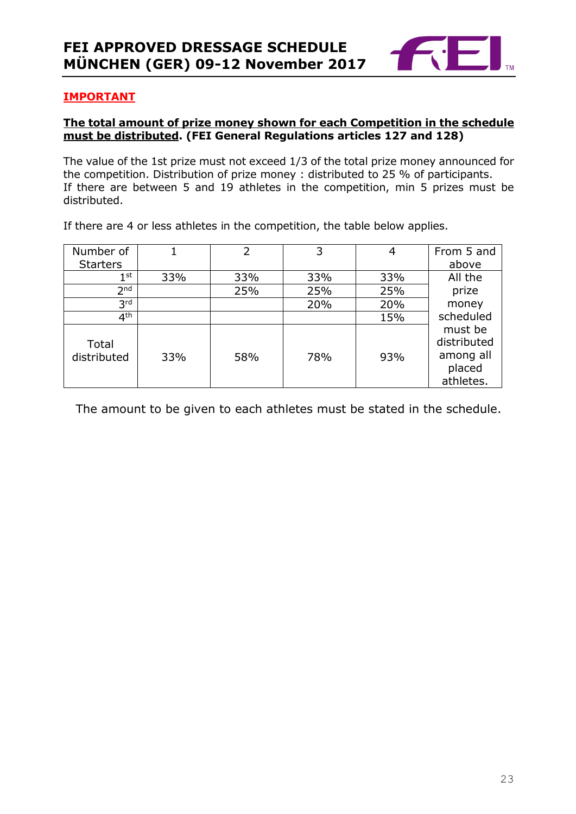

#### **IMPORTANT**

#### **The total amount of prize money shown for each Competition in the schedule must be distributed. (FEI General Regulations articles 127 and 128)**

The value of the 1st prize must not exceed 1/3 of the total prize money announced for the competition. Distribution of prize money : distributed to 25 % of participants. If there are between 5 and 19 athletes in the competition, min 5 prizes must be distributed.

Number of **Starters** 1 2 3 4 From 5 and above  $1<sup>st</sup>$  $\mathbb{S}^{\text{st}}$  33%  $\mid$  33%  $\mid$  33%  $\mid$  All the prize money scheduled must be distributed among all placed athletes.  $2<sub>nd</sub>$ nd | 25% | 25% | 25%  $3rd$ <sup>rd</sup> | 20% | 20%  $4<sup>th</sup>$  $\mathsf{t}$ h | 15% | 15% | 15% | 15% | 15% | 15% | 15% | 15% | 15% | 15% | 15% | 15% | 15% | 15% | 15% | 15% | 15% | 15% | 15% | 15% | 15% | 15% | 15% | 15% | 15% | 15% | 15% | 15% | 15% | 15% | 15% | 15% | 15% | 15% | 15% | Total distributed 33% 58% 78% 93%

If there are 4 or less athletes in the competition, the table below applies.

The amount to be given to each athletes must be stated in the schedule.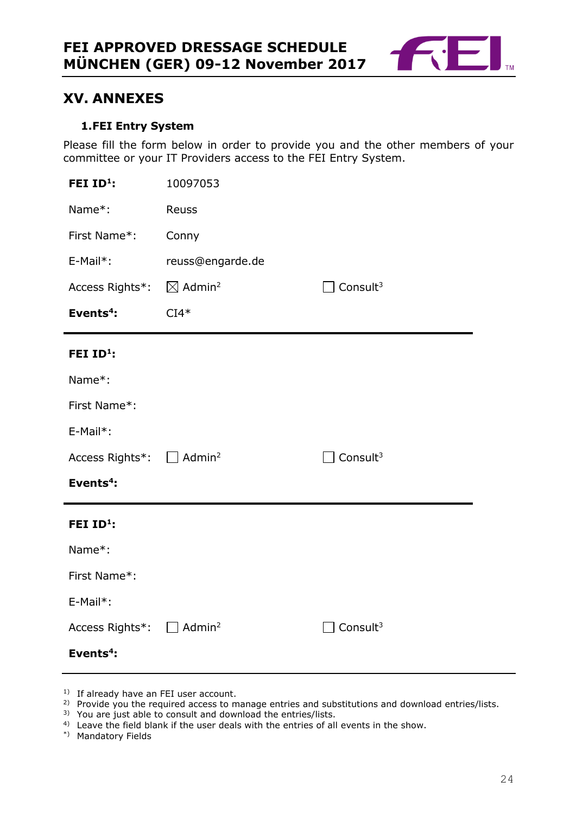

# <span id="page-23-0"></span>**XV. ANNEXES**

#### **1.FEI Entry System**

<span id="page-23-1"></span>Please fill the form below in order to provide you and the other members of your committee or your IT Providers access to the FEI Entry System.

| FEI ID <sup>1</sup> :                             | 10097053                       |             |
|---------------------------------------------------|--------------------------------|-------------|
| Name*:                                            | Reuss                          |             |
| First Name*:                                      | Conny                          |             |
| E-Mail*:                                          | reuss@engarde.de               |             |
| Access Rights*:                                   | $\boxtimes$ Admin <sup>2</sup> | Consult $3$ |
| Events <sup>4</sup> :                             | $CI4*$                         |             |
| FEI ID <sup>1</sup> :                             |                                |             |
| Name*:                                            |                                |             |
| First Name*:                                      |                                |             |
| E-Mail*:                                          |                                |             |
| Access Rights <sup>*</sup> : □ Admin <sup>2</sup> |                                | Consult $3$ |
| Events <sup>4</sup> :                             |                                |             |
| FEI ID <sup>1</sup> :                             |                                |             |
| Name*:                                            |                                |             |
| First Name*:                                      |                                |             |
| E-Mail*:                                          |                                |             |
| Access Rights*: $\square$                         | Admin <sup>2</sup>             | Consult $3$ |
| Events <sup>4</sup> :                             |                                |             |

- <sup>1)</sup> If already have an FEI user account.
- <sup>2)</sup> Provide you the required access to manage entries and substitutions and download entries/lists.
- <sup>3)</sup> You are just able to consult and download the entries/lists.
- <sup>4)</sup> Leave the field blank if the user deals with the entries of all events in the show.
- \*) Mandatory Fields